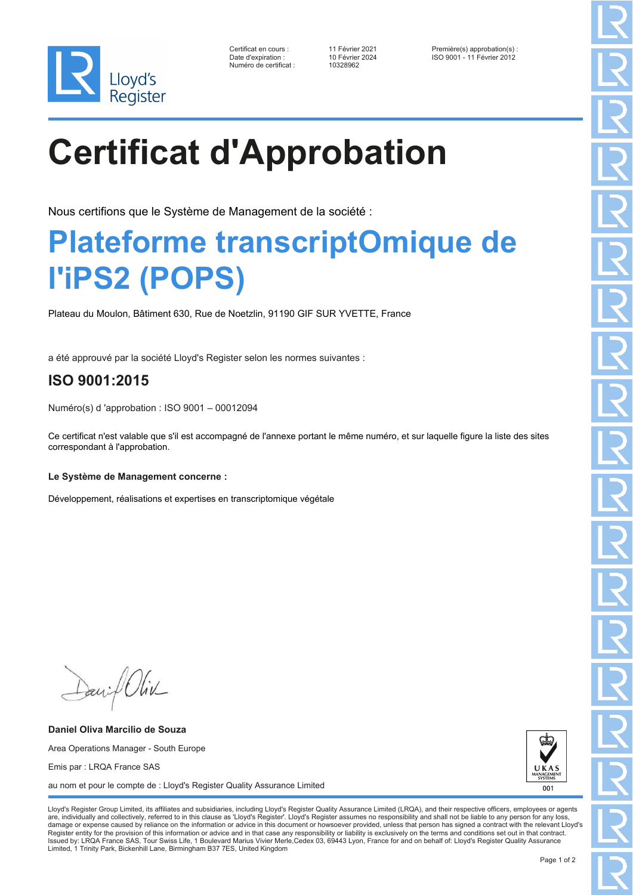

| Certificat en cours :  |
|------------------------|
| Date d'expiration :    |
| Numéro de certificat : |

10328962

Certificat en cours : 11 Février 2021 Première(s) approbation(s) : Date d'expiration : 10 Février 2024 ISO 9001 - 11 Février 2012

# **Certificat d'Approbation**

Nous certifions que le Système de Management de la société :

### **Plateforme transcriptOmique de l'iPS2 (POPS)**

Plateau du Moulon, Bâtiment 630, Rue de Noetzlin, 91190 GIF SUR YVETTE, France

a été approuvé par la société Lloyd's Register selon les normes suivantes :

### **ISO 9001:2015**

Numéro(s) d 'approbation : ISO 9001 – 00012094

Ce certificat n'est valable que s'il est accompagné de l'annexe portant le même numéro, et sur laquelle figure la liste des sites correspondant à l'approbation.

#### **Le Système de Management concerne :**

Développement, réalisations et expertises en transcriptomique végétale

Daniel Oliv

**Daniel Oliva Marcilio de Souza** Area Operations Manager - South Europe Emis par : LRQA France SAS au nom et pour le compte de : Lloyd's Register Quality Assurance Limited



Lloyd's Register Group Limited, its affiliates and subsidiaries, including Lloyd's Register Quality Assurance Limited (LRQA), and their respective officers, employees or agents are, individually and collectively, referred to in this clause as 'Lloyd's Register'. Lloyd's Register assumes no responsibility and shall not be liable to any person for any los damage or expense caused by reliance on the information or advice in this document or howsoever provided, unless that person has signed a contract with the relevant Lloyd's<br>Register entity for the provision of this informa Issued by: LRQA France SAS, Tour Swiss Life, 1 Boulevard Marius Vivier Merle,Cedex 03, 69443 Lyon, France for and on behalf of: Lloyd's Register Quality Assurance Limited, 1 Trinity Park, Bickenhill Lane, Birmingham B37 7ES, United Kingdom